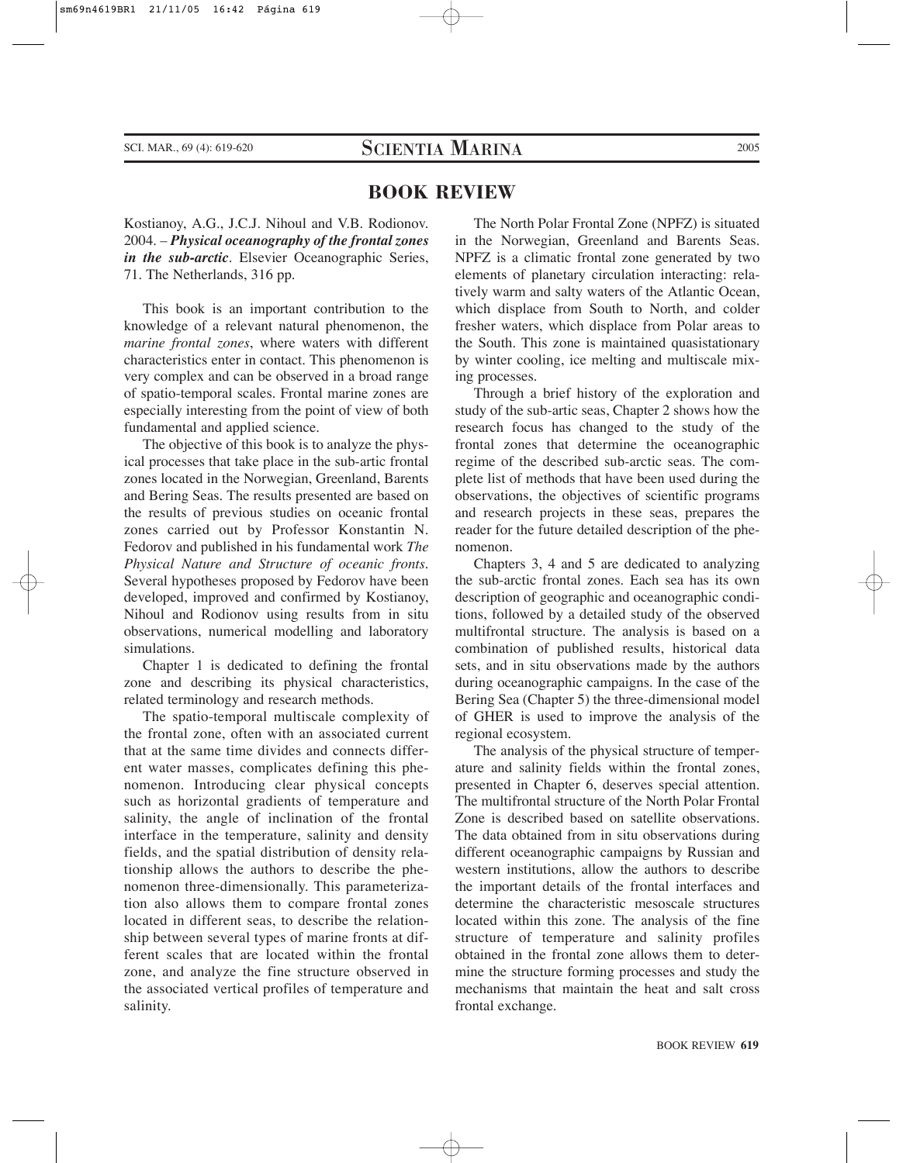## **BOOK REVIEW**

Kostianoy, A.G., J.C.J. Nihoul and V.B. Rodionov. 2004. – *Physical oceanography of the frontal zones in the sub-arctic*. Elsevier Oceanographic Series, 71. The Netherlands, 316 pp.

This book is an important contribution to the knowledge of a relevant natural phenomenon, the *marine frontal zones*, where waters with different characteristics enter in contact. This phenomenon is very complex and can be observed in a broad range of spatio-temporal scales. Frontal marine zones are especially interesting from the point of view of both fundamental and applied science.

The objective of this book is to analyze the physical processes that take place in the sub-artic frontal zones located in the Norwegian, Greenland, Barents and Bering Seas. The results presented are based on the results of previous studies on oceanic frontal zones carried out by Professor Konstantin N. Fedorov and published in his fundamental work *The Physical Nature and Structure of oceanic fronts*. Several hypotheses proposed by Fedorov have been developed, improved and confirmed by Kostianoy, Nihoul and Rodionov using results from in situ observations, numerical modelling and laboratory simulations.

Chapter 1 is dedicated to defining the frontal zone and describing its physical characteristics, related terminology and research methods.

The spatio-temporal multiscale complexity of the frontal zone, often with an associated current that at the same time divides and connects different water masses, complicates defining this phenomenon. Introducing clear physical concepts such as horizontal gradients of temperature and salinity, the angle of inclination of the frontal interface in the temperature, salinity and density fields, and the spatial distribution of density relationship allows the authors to describe the phenomenon three-dimensionally. This parameterization also allows them to compare frontal zones located in different seas, to describe the relationship between several types of marine fronts at different scales that are located within the frontal zone, and analyze the fine structure observed in the associated vertical profiles of temperature and salinity.

The North Polar Frontal Zone (NPFZ) is situated in the Norwegian, Greenland and Barents Seas. NPFZ is a climatic frontal zone generated by two elements of planetary circulation interacting: relatively warm and salty waters of the Atlantic Ocean, which displace from South to North, and colder fresher waters, which displace from Polar areas to the South. This zone is maintained quasistationary by winter cooling, ice melting and multiscale mixing processes.

Through a brief history of the exploration and study of the sub-artic seas, Chapter 2 shows how the research focus has changed to the study of the frontal zones that determine the oceanographic regime of the described sub-arctic seas. The complete list of methods that have been used during the observations, the objectives of scientific programs and research projects in these seas, prepares the reader for the future detailed description of the phenomenon.

Chapters 3, 4 and 5 are dedicated to analyzing the sub-arctic frontal zones. Each sea has its own description of geographic and oceanographic conditions, followed by a detailed study of the observed multifrontal structure. The analysis is based on a combination of published results, historical data sets, and in situ observations made by the authors during oceanographic campaigns. In the case of the Bering Sea (Chapter 5) the three-dimensional model of GHER is used to improve the analysis of the regional ecosystem.

The analysis of the physical structure of temperature and salinity fields within the frontal zones, presented in Chapter 6, deserves special attention. The multifrontal structure of the North Polar Frontal Zone is described based on satellite observations. The data obtained from in situ observations during different oceanographic campaigns by Russian and western institutions, allow the authors to describe the important details of the frontal interfaces and determine the characteristic mesoscale structures located within this zone. The analysis of the fine structure of temperature and salinity profiles obtained in the frontal zone allows them to determine the structure forming processes and study the mechanisms that maintain the heat and salt cross frontal exchange.